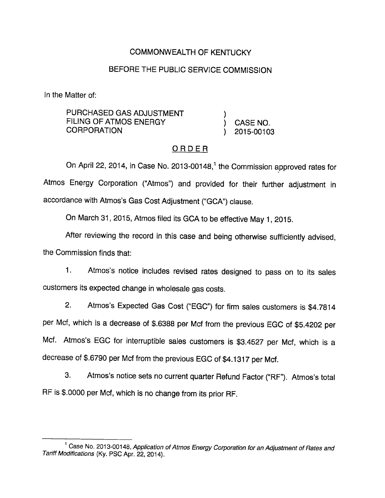## COMMONWEALTH OF KENTUCKY

### BEFORE THE PUBLIC SERVICE COMMISSION

In the Matter of:

PURCHASED GAS ADJUSTMENT FILING OF ATMOS ENERGY (CASE NO. CORPORATION ) 2015-00103

## ORDER

On April 22, 2014, in Case No. 2013-00148,<sup>1</sup> the Commission approved rates for Atmos Energy Corporation ("Atmos") and provided for their further adjustment in accordance with Atmos's Gas CostAdjustment ("GCA") clause.

On March 31, 2015, Atmos filed its GCA to be effective May 1, 2015.

After reviewing the record in this case and being otherwise sufficiently advised, the Commission finds that:

1. Atmos's notice includes revised rates designed to pass on to its sales customers its expected change in wholesale gas costs.

2. Atmos's Expected Gas Cost ("EGC") for firm sales customers is \$4.7814 per Mcf, which is a decrease of \$.6388 per Mcf from the previous EGC of \$5.4202 per Mcf. Atmos's EGC for interruptible sales customers is \$3.4527 per Mcf, which is a decrease of \$.6790 per Mcf from the previous EGC of \$4.1317 per Mcf.

3. Atmos's notice sets no current quarter Refund Factor ("RF"). Atmos's total RF is \$.0000 per Mcf, which is no change from its prior RF.

<sup>&</sup>lt;sup>1</sup> Case No. 2013-00148, Application of Atmos Energy Corporation for an Adjustment of Rates and Tariff Modifications (Ky. PSC Apr. 22, 2014).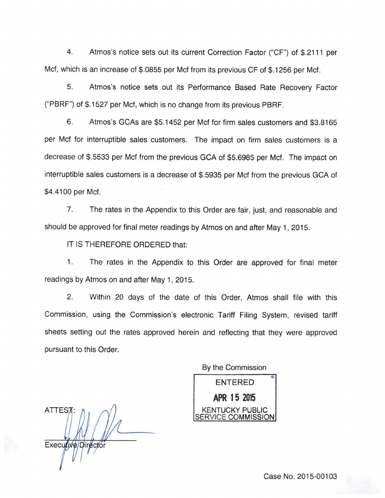4. Atmos's notice sets out its current Correction Factor ("CP") of \$.2111 per Met, which is an increase of \$.0855 per Mcf from its previous OF of \$.1256 per Mcf.

5. Atmos's notice sets out its Performance Based Rate Recovery Factor ("PBRF") of \$.1527 per Mcf, which is no change from its previous PBRF.

6. Atmos's GCAs are \$5.1452 per Mcf for firm sales customers and \$3.8165 per Mcf for interruptible sales customers. The impact on firm sales customers is a decrease of \$.5533 per Mcf from the previous GCA of \$5.6985 per Mcf. The impact on interruptible sales customers is a decrease of \$.5935 per Mcf from the previous GCA of \$4.4100 per Mcf.

7. The rates in the Appendix to this Order are fair, just, and reasonable and should be approved for final meter readings by Atmos on and after May 1, 2015.

IT IS THEREFORE ORDERED that;

1. The rates in the Appendix to this Order are approved for final meter readings by Atmos on and after May 1, 2015.

2. Within 20 days of the date of this Order, Atmos shall file with this Commission, using the Commission's electronic Tariff Filing System, revised tariff sheets setting out the rates approved herein and reflecting that they were approved pursuant to this Order.

By the Commission

ENTERED APR 15 2015 KENTUCKY PUBLIC ERVICE COMMISSION

ATTES7 Executive/Director

Case No. 2015-00103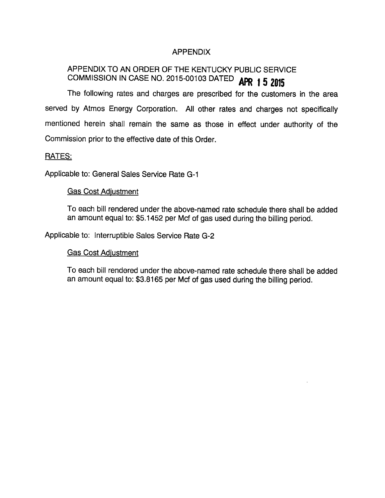## APPENDIX

# APPENDIX TO AN ORDER OF THE KENTUCKY PUBLIC SERVICE COMMISSION IN CASE NO. 2015-00103 DATED **APR 1 5 2015**

The following rates and charges are prescribed for the customers in the area served by Atmos Energy Corporation. All other rates and charges not specifically mentioned herein shall remain the same as those in effect under authority of the Commission prior to the effective date of this Order.

### RATES:

Applicable to: General Sales Service Rate G-1

### Gas Cost Adiustment

To each bill rendered under the above-named rate schedule there shall be added an amount equal to: \$5.1452 per Mcf of gas used during the billing period.

Applicable to: Interruptible Sales Service Rate G-2

### Gas Cost Adiustment

To each bill rendered under the above-named rate schedule there shall be added an amount equal to: \$3.8165 per Mcf of gas used during the billing period.